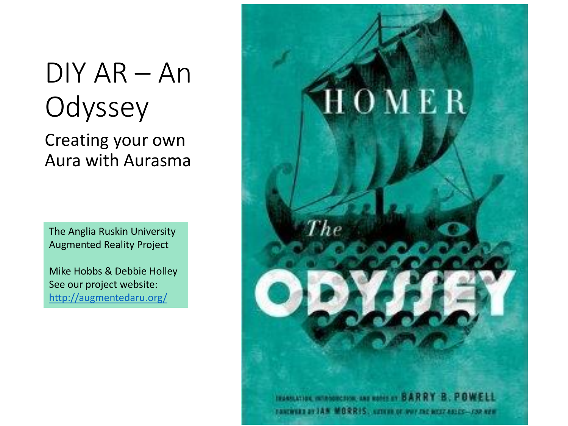#### DIY AR – An **Odyssey**

Creating your own Aura with Aurasma

The Anglia Ruskin University Augmented Reality Project

Mike Hobbs & Debbie Holley See our project website: <http://augmentedaru.org/>

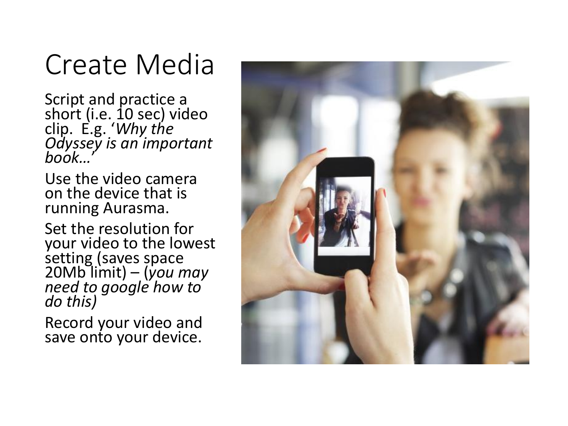#### Create Media

Script and practice a short (i.e. 10 sec) video clip. E.g. '*Why the Odyssey is an important book…*'

Use the video camera on the device that is running Aurasma.

Set the resolution for your video to the lowest setting (saves space 20Mb limit) – (*you may need to google how to do this)*

Record your video and save onto your device.

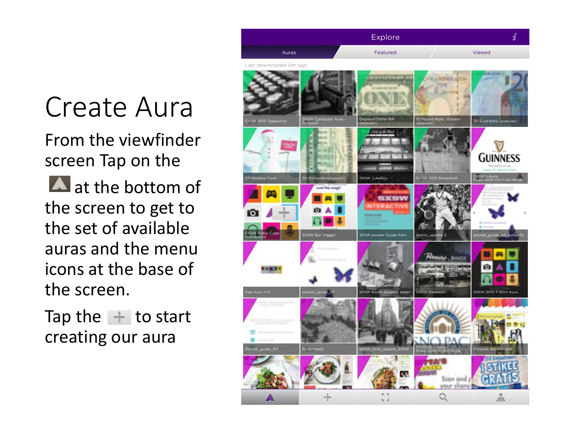# Create Aura

From the viewfinder screen Tap on the

 $\blacktriangle$  at the bottom of the screen to get to the set of available auras and the menu icons at the base of the screen.

Tap the  $+$  to start creating our aura

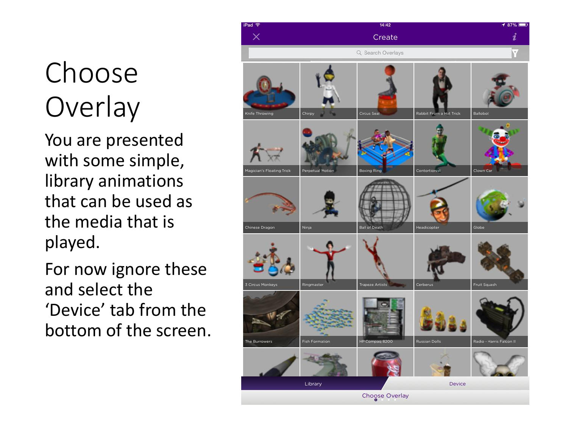# Choose **Overlay**

You are presented with some simple, library animations that can be used as the media that is played.

For now ignore these and select the 'Device' tab from the bottom of the screen.

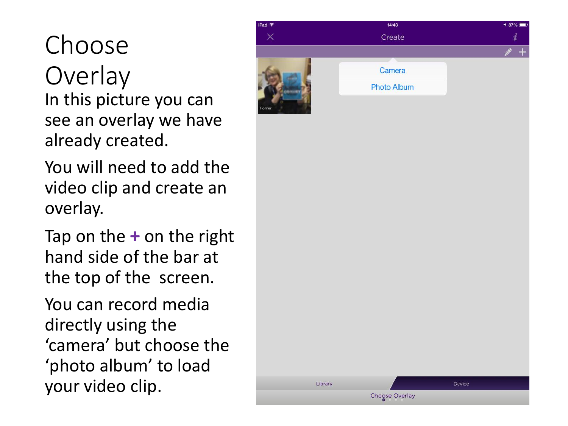Choose **Overlay** In this picture you can see an overlay we have already created.

You will need to add the video clip and create an overlay.

Tap on the **+** on the right hand side of the bar at the top of the screen.

You can record media directly using the 'camera' but choose the 'photo album' to load your video clip.



Library

Device

Choose Overlay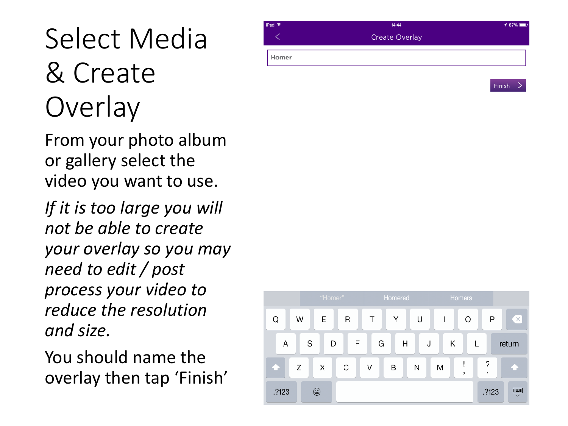## Select Media & Create **Overlay**

From your photo album or gallery select the video you want to use.

*If it is too large you will not be able to create your overlay so you may need to edit / post process your video to reduce the resolution and size.* 

You should name the overlay then tap 'Finish'



**Finish** 

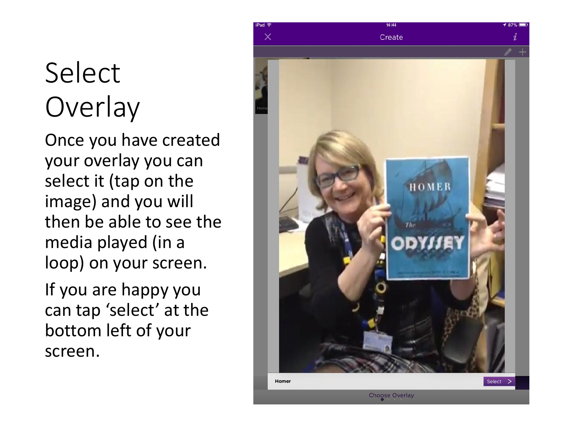#### Select **Overlay**

Once you have created your overlay you can select it (tap on the image) and you will then be able to see the media played (in a loop) on your screen.

If you are happy you can tap 'select' at the bottom left of your screen.

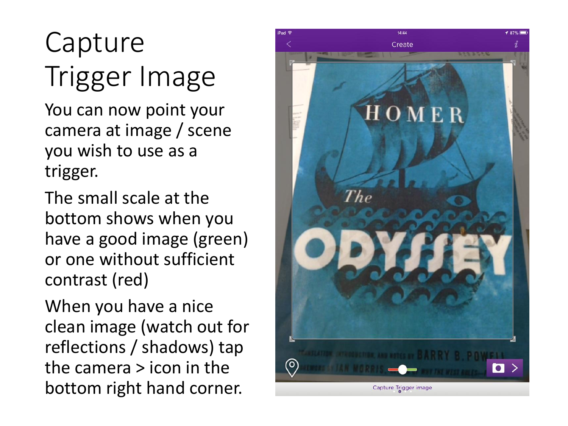# Capture Trigger Image

You can now point your camera at image / scene you wish to use as a trigger.

The small scale at the bottom shows when you have a good image (green) or one without sufficient contrast (red)

When you have a nice clean image (watch out for reflections / shadows) tap the camera > icon in the bottom right hand corner.

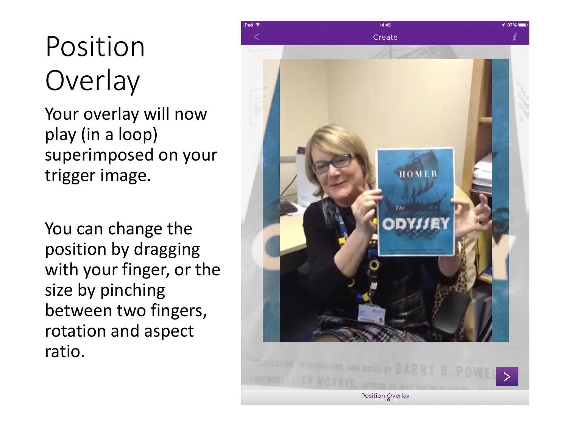# Position **Overlay**

Your overlay will now play (in a loop) superimposed on your trigger image.

You can change the position by dragging with your finger, or the size by pinching between two fingers, rotation and aspect ratio.

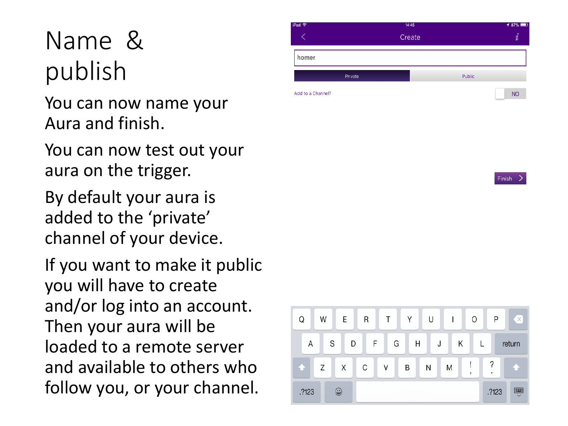#### Name & publish

You can now name your Aura and finish.

You can now test out your aura on the trigger.

By default your aura is added to the 'private' channel of your device.

If you want to make it public you will have to create and/or log into an account. Then your aura will be loaded to a remote server and available to others who follow you, or your channel.





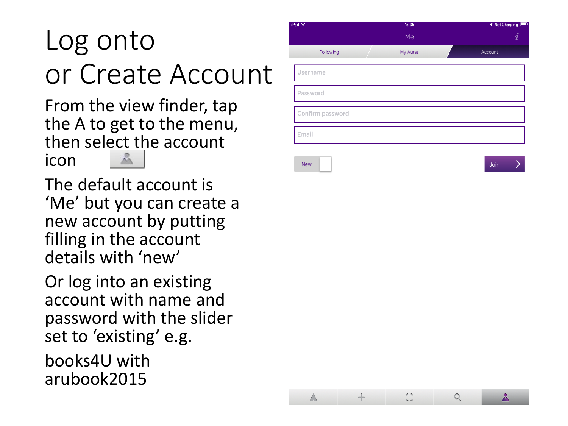# Log onto or Create Account

From the view finder, tap the A to get to the menu, then select the account å icon

The default account is 'Me' but you can create a new account by putting filling in the account details with 'new'

Or log into an existing account with name and password with the slider set to 'existing' e.g. books4U with

arubook2015



 $\triangle$ 

 $+$ 

 $\begin{bmatrix} 1 \\ 2 \end{bmatrix}$ 

 $Q$